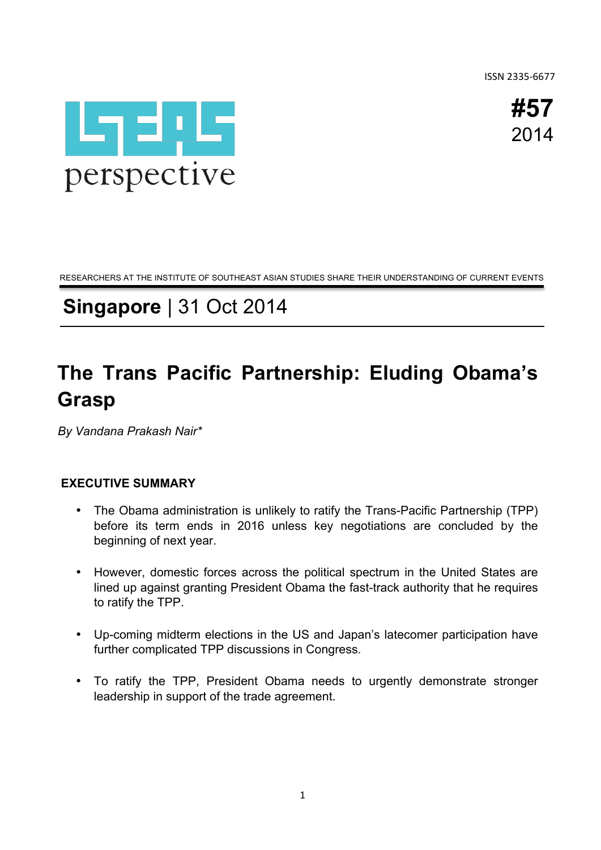ISSN 2335-6677

**#57** 2014



RESEARCHERS AT THE INSTITUTE OF SOUTHEAST ASIAN STUDIES SHARE THEIR UNDERSTANDING OF CURRENT EVENTS

## **Singapore** | 31 Oct 2014

# **The Trans Pacific Partnership: Eluding Obama's Grasp**

*By Vandana Prakash Nair\**

## **EXECUTIVE SUMMARY**

- The Obama administration is unlikely to ratify the Trans-Pacific Partnership (TPP) before its term ends in 2016 unless key negotiations are concluded by the beginning of next year.
- However, domestic forces across the political spectrum in the United States are lined up against granting President Obama the fast-track authority that he requires to ratify the TPP.
- Up-coming midterm elections in the US and Japan's latecomer participation have further complicated TPP discussions in Congress.
- To ratify the TPP, President Obama needs to urgently demonstrate stronger leadership in support of the trade agreement.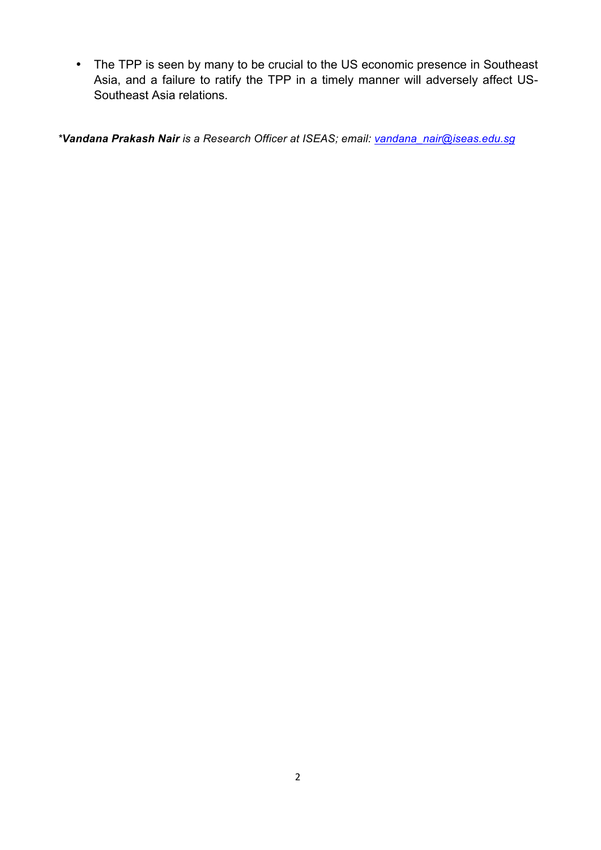• The TPP is seen by many to be crucial to the US economic presence in Southeast Asia, and a failure to ratify the TPP in a timely manner will adversely affect US-Southeast Asia relations.

*\*Vandana Prakash Nair is a Research Officer at ISEAS; email: vandana\_nair@iseas.edu.sg*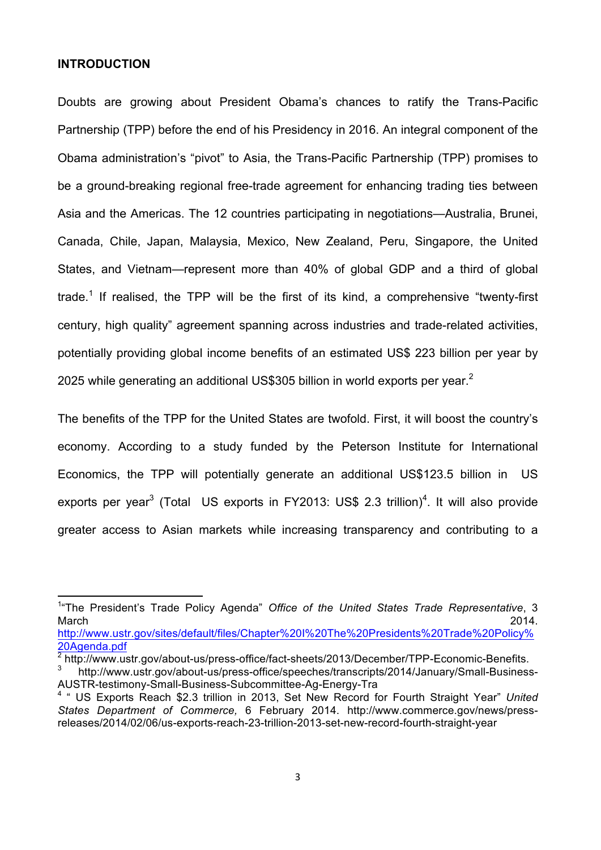#### **INTRODUCTION**

Doubts are growing about President Obama's chances to ratify the Trans-Pacific Partnership (TPP) before the end of his Presidency in 2016. An integral component of the Obama administration's "pivot" to Asia, the Trans-Pacific Partnership (TPP) promises to be a ground-breaking regional free-trade agreement for enhancing trading ties between Asia and the Americas. The 12 countries participating in negotiations—Australia, Brunei, Canada, Chile, Japan, Malaysia, Mexico, New Zealand, Peru, Singapore, the United States, and Vietnam—represent more than 40% of global GDP and a third of global trade.<sup>1</sup> If realised, the TPP will be the first of its kind, a comprehensive "twenty-first century, high quality" agreement spanning across industries and trade-related activities, potentially providing global income benefits of an estimated US\$ 223 billion per year by 2025 while generating an additional US\$305 billion in world exports per year.<sup>2</sup>

The benefits of the TPP for the United States are twofold. First, it will boost the country's economy. According to a study funded by the Peterson Institute for International Economics, the TPP will potentially generate an additional US\$123.5 billion in US exports per year<sup>3</sup> (Total US exports in FY2013: US\$ 2.3 trillion)<sup>4</sup>. It will also provide greater access to Asian markets while increasing transparency and contributing to a

<sup>&</sup>lt;sup>1</sup> The President's Trade Policy Agenda" Office of the United States Trade Representative, 3 March 2014.

http://www.ustr.gov/sites/default/files/Chapter%20I%20The%20Presidents%20Trade%20Policy% 20Agenda.pdf

<sup>2</sup> http://www.ustr.gov/about-us/press-office/fact-sheets/2013/December/TPP-Economic-Benefits.

<sup>3</sup> http://www.ustr.gov/about-us/press-office/speeches/transcripts/2014/January/Small-Business-AUSTR-testimony-Small-Business-Subcommittee-Ag-Energy-Tra

<sup>4</sup> " US Exports Reach \$2.3 trillion in 2013, Set New Record for Fourth Straight Year" *United States Department of Commerce,* 6 February 2014. http://www.commerce.gov/news/pressreleases/2014/02/06/us-exports-reach-23-trillion-2013-set-new-record-fourth-straight-year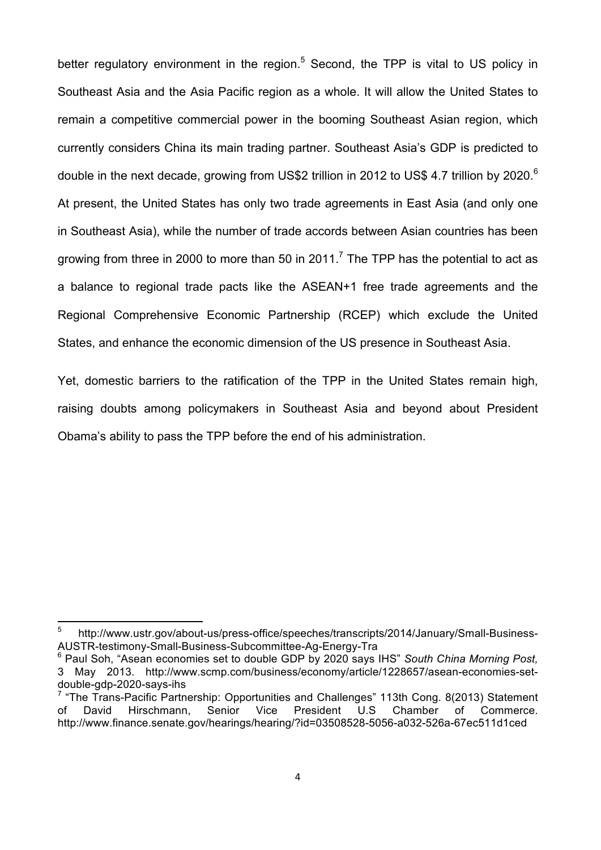better regulatory environment in the region.<sup>5</sup> Second, the TPP is vital to US policy in Southeast Asia and the Asia Pacific region as a whole. It will allow the United States to remain a competitive commercial power in the booming Southeast Asian region, which currently considers China its main trading partner. Southeast Asia's GDP is predicted to double in the next decade, growing from US\$2 trillion in 2012 to US\$ 4.7 trillion by 2020.<sup>6</sup> At present, the United States has only two trade agreements in East Asia (and only one in Southeast Asia), while the number of trade accords between Asian countries has been growing from three in 2000 to more than 50 in 2011.<sup>7</sup> The TPP has the potential to act as a balance to regional trade pacts like the ASEAN+1 free trade agreements and the Regional Comprehensive Economic Partnership (RCEP) which exclude the United States, and enhance the economic dimension of the US presence in Southeast Asia.

Yet, domestic barriers to the ratification of the TPP in the United States remain high, raising doubts among policymakers in Southeast Asia and beyond about President Obama's ability to pass the TPP before the end of his administration.

<sup>5</sup> http://www.ustr.gov/about-us/press-office/speeches/transcripts/2014/January/Small-Business-AUSTR-testimony-Small-Business-Subcommittee-Ag-Energy-Tra

<sup>6</sup> Paul Soh, "Asean economies set to double GDP by 2020 says IHS" *South China Morning Post,*  3 May 2013. http://www.scmp.com/business/economy/article/1228657/asean-economies-setdouble-gdp-2020-says-ihs

 $7$  "The Trans-Pacific Partnership: Opportunities and Challenges" 113th Cong. 8(2013) Statement of David Hirschmann, Senior Vice President U.S Chamber of Commerce. http://www.finance.senate.gov/hearings/hearing/?id=03508528-5056-a032-526a-67ec511d1ced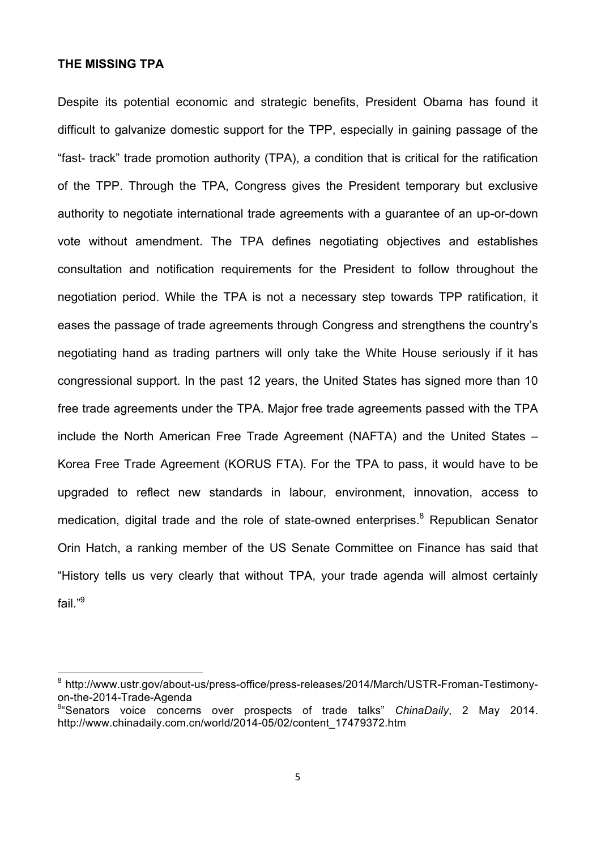## **THE MISSING TPA**

Despite its potential economic and strategic benefits, President Obama has found it difficult to galvanize domestic support for the TPP, especially in gaining passage of the "fast- track" trade promotion authority (TPA), a condition that is critical for the ratification of the TPP. Through the TPA, Congress gives the President temporary but exclusive authority to negotiate international trade agreements with a guarantee of an up-or-down vote without amendment. The TPA defines negotiating objectives and establishes consultation and notification requirements for the President to follow throughout the negotiation period. While the TPA is not a necessary step towards TPP ratification, it eases the passage of trade agreements through Congress and strengthens the country's negotiating hand as trading partners will only take the White House seriously if it has congressional support. In the past 12 years, the United States has signed more than 10 free trade agreements under the TPA. Major free trade agreements passed with the TPA include the North American Free Trade Agreement (NAFTA) and the United States – Korea Free Trade Agreement (KORUS FTA). For the TPA to pass, it would have to be upgraded to reflect new standards in labour, environment, innovation, access to medication, digital trade and the role of state-owned enterprises.<sup>8</sup> Republican Senator Orin Hatch, a ranking member of the US Senate Committee on Finance has said that "History tells us very clearly that without TPA, your trade agenda will almost certainly fail $"9$ 

<sup>8</sup> http://www.ustr.gov/about-us/press-office/press-releases/2014/March/USTR-Froman-Testimonyon-the-2014-Trade-Agenda

<sup>9</sup> "Senators voice concerns over prospects of trade talks" *ChinaDaily*, 2 May 2014. http://www.chinadaily.com.cn/world/2014-05/02/content\_17479372.htm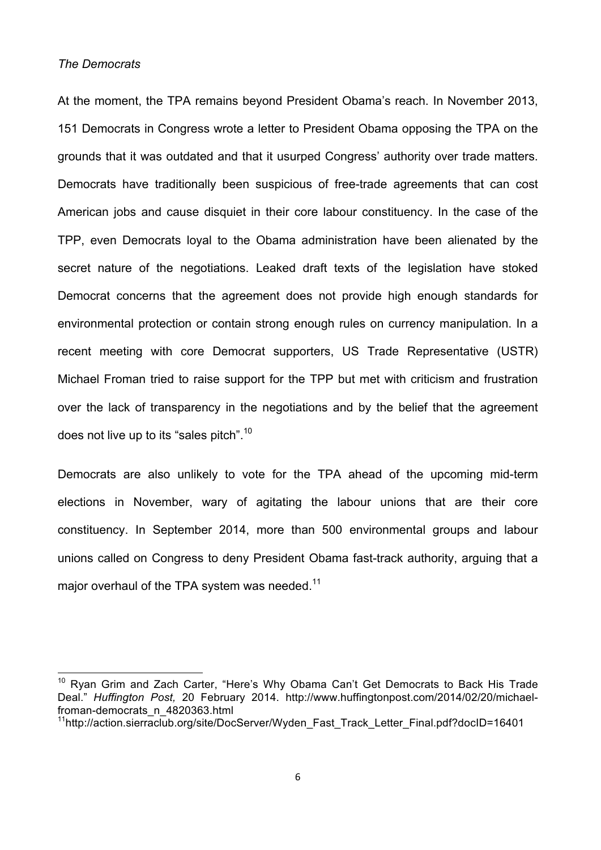## *The Democrats*

At the moment, the TPA remains beyond President Obama's reach. In November 2013, 151 Democrats in Congress wrote a letter to President Obama opposing the TPA on the grounds that it was outdated and that it usurped Congress' authority over trade matters. Democrats have traditionally been suspicious of free-trade agreements that can cost American jobs and cause disquiet in their core labour constituency. In the case of the TPP, even Democrats loyal to the Obama administration have been alienated by the secret nature of the negotiations. Leaked draft texts of the legislation have stoked Democrat concerns that the agreement does not provide high enough standards for environmental protection or contain strong enough rules on currency manipulation. In a recent meeting with core Democrat supporters, US Trade Representative (USTR) Michael Froman tried to raise support for the TPP but met with criticism and frustration over the lack of transparency in the negotiations and by the belief that the agreement does not live up to its "sales pitch".<sup>10</sup>

Democrats are also unlikely to vote for the TPA ahead of the upcoming mid-term elections in November, wary of agitating the labour unions that are their core constituency. In September 2014, more than 500 environmental groups and labour unions called on Congress to deny President Obama fast-track authority, arguing that a major overhaul of the TPA system was needed.<sup>11</sup>

<sup>&</sup>lt;sup>10</sup> Ryan Grim and Zach Carter, "Here's Why Obama Can't Get Democrats to Back His Trade Deal." *Huffington Post,* 20 February 2014. http://www.huffingtonpost.com/2014/02/20/michaelfroman-democrats\_n\_4820363.html

<sup>&</sup>lt;sup>11</sup>http://action.sierraclub.org/site/DocServer/Wyden\_Fast\_Track\_Letter\_Final.pdf?docID=16401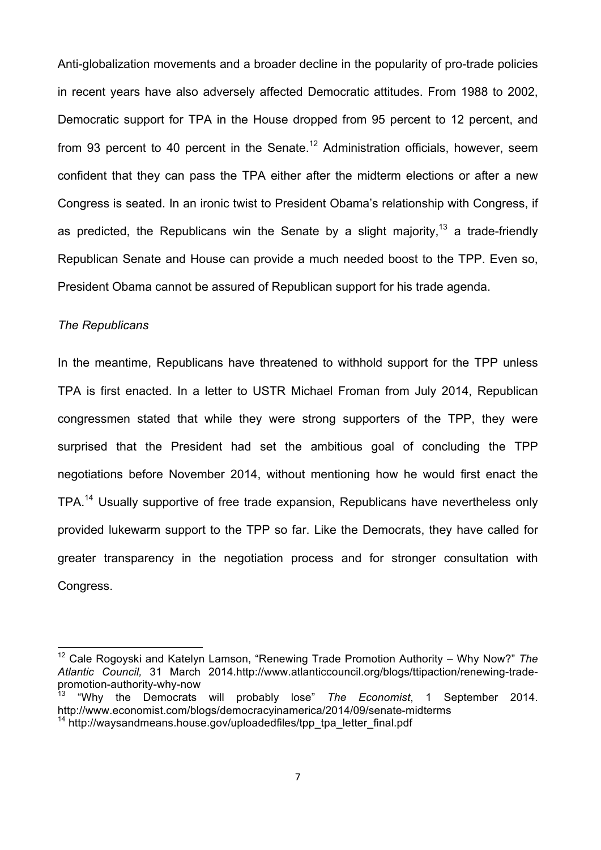Anti-globalization movements and a broader decline in the popularity of pro-trade policies in recent years have also adversely affected Democratic attitudes. From 1988 to 2002, Democratic support for TPA in the House dropped from 95 percent to 12 percent, and from 93 percent to 40 percent in the Senate.<sup>12</sup> Administration officials, however, seem confident that they can pass the TPA either after the midterm elections or after a new Congress is seated. In an ironic twist to President Obama's relationship with Congress, if as predicted, the Republicans win the Senate by a slight majority,<sup>13</sup> a trade-friendly Republican Senate and House can provide a much needed boost to the TPP. Even so, President Obama cannot be assured of Republican support for his trade agenda.

## *The Republicans*

 

In the meantime, Republicans have threatened to withhold support for the TPP unless TPA is first enacted. In a letter to USTR Michael Froman from July 2014, Republican congressmen stated that while they were strong supporters of the TPP, they were surprised that the President had set the ambitious goal of concluding the TPP negotiations before November 2014, without mentioning how he would first enact the TPA.<sup>14</sup> Usually supportive of free trade expansion, Republicans have nevertheless only provided lukewarm support to the TPP so far. Like the Democrats, they have called for greater transparency in the negotiation process and for stronger consultation with Congress.

<sup>12</sup> Cale Rogoyski and Katelyn Lamson, "Renewing Trade Promotion Authority – Why Now?" *The Atlantic Council,* 31 March 2014.http://www.atlanticcouncil.org/blogs/ttipaction/renewing-tradepromotion-authority-why-now<br><sup>13</sup> "Why the

<sup>13</sup> "Why the Democrats will probably lose" *The Economist*, 1 September 2014. http://www.economist.com/blogs/democracyinamerica/2014/09/senate-midterms  $14$  http://waysandmeans.house.gov/uploadedfiles/tpp\_tpa\_letter\_final.pdf

<sup>7</sup>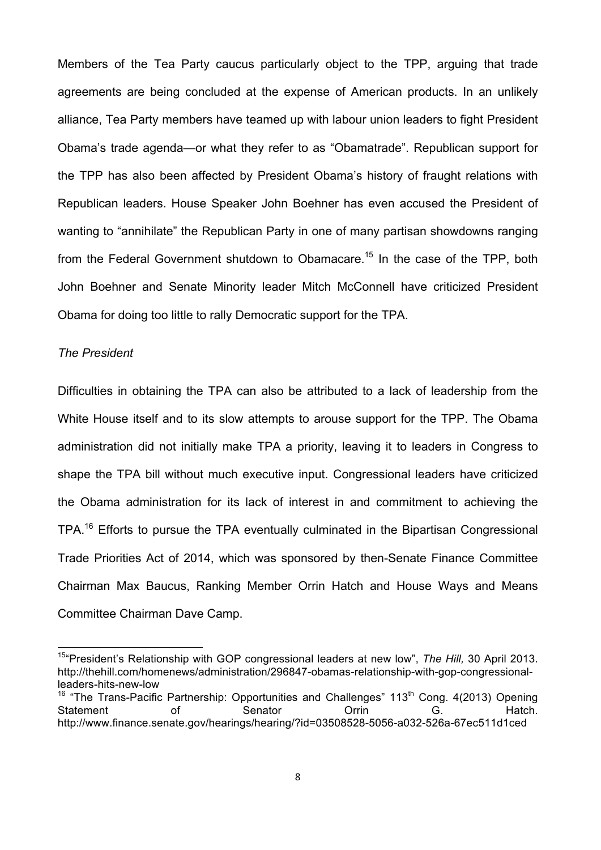Members of the Tea Party caucus particularly object to the TPP, arguing that trade agreements are being concluded at the expense of American products. In an unlikely alliance, Tea Party members have teamed up with labour union leaders to fight President Obama's trade agenda—or what they refer to as "Obamatrade". Republican support for the TPP has also been affected by President Obama's history of fraught relations with Republican leaders. House Speaker John Boehner has even accused the President of wanting to "annihilate" the Republican Party in one of many partisan showdowns ranging from the Federal Government shutdown to Obamacare.<sup>15</sup> In the case of the TPP, both John Boehner and Senate Minority leader Mitch McConnell have criticized President Obama for doing too little to rally Democratic support for the TPA.

## *The President*

 

Difficulties in obtaining the TPA can also be attributed to a lack of leadership from the White House itself and to its slow attempts to arouse support for the TPP. The Obama administration did not initially make TPA a priority, leaving it to leaders in Congress to shape the TPA bill without much executive input. Congressional leaders have criticized the Obama administration for its lack of interest in and commitment to achieving the TPA.<sup>16</sup> Efforts to pursue the TPA eventually culminated in the Bipartisan Congressional Trade Priorities Act of 2014, which was sponsored by then-Senate Finance Committee Chairman Max Baucus, Ranking Member Orrin Hatch and House Ways and Means Committee Chairman Dave Camp.

<sup>15&</sup>quot;President's Relationship with GOP congressional leaders at new low", *The Hill,* 30 April 2013. http://thehill.com/homenews/administration/296847-obamas-relationship-with-gop-congressionalleaders-hits-new-low

<sup>&</sup>lt;sup>16</sup> "The Trans-Pacific Partnership: Opportunities and Challenges" 113<sup>th</sup> Cong. 4(2013) Opening Statement of Senator Orrin G. Hatch. http://www.finance.senate.gov/hearings/hearing/?id=03508528-5056-a032-526a-67ec511d1ced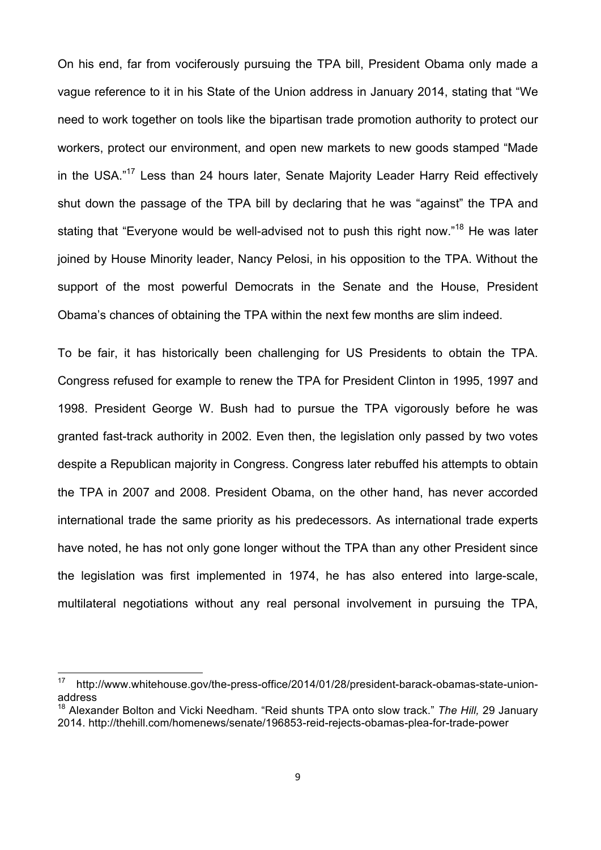On his end, far from vociferously pursuing the TPA bill, President Obama only made a vague reference to it in his State of the Union address in January 2014, stating that "We need to work together on tools like the bipartisan trade promotion authority to protect our workers, protect our environment, and open new markets to new goods stamped "Made in the USA."<sup>17</sup> Less than 24 hours later, Senate Majority Leader Harry Reid effectively shut down the passage of the TPA bill by declaring that he was "against" the TPA and stating that "Everyone would be well-advised not to push this right now."<sup>18</sup> He was later joined by House Minority leader, Nancy Pelosi, in his opposition to the TPA. Without the support of the most powerful Democrats in the Senate and the House, President Obama's chances of obtaining the TPA within the next few months are slim indeed.

To be fair, it has historically been challenging for US Presidents to obtain the TPA. Congress refused for example to renew the TPA for President Clinton in 1995, 1997 and 1998. President George W. Bush had to pursue the TPA vigorously before he was granted fast-track authority in 2002. Even then, the legislation only passed by two votes despite a Republican majority in Congress. Congress later rebuffed his attempts to obtain the TPA in 2007 and 2008. President Obama, on the other hand, has never accorded international trade the same priority as his predecessors. As international trade experts have noted, he has not only gone longer without the TPA than any other President since the legislation was first implemented in 1974, he has also entered into large-scale, multilateral negotiations without any real personal involvement in pursuing the TPA,

<u> 1989 - Johann Stein, fransk politiker (d. 1989)</u>

<sup>17</sup> http://www.whitehouse.gov/the-press-office/2014/01/28/president-barack-obamas-state-unionaddress

<sup>18</sup> Alexander Bolton and Vicki Needham. "Reid shunts TPA onto slow track." *The Hill,* 29 January 2014. http://thehill.com/homenews/senate/196853-reid-rejects-obamas-plea-for-trade-power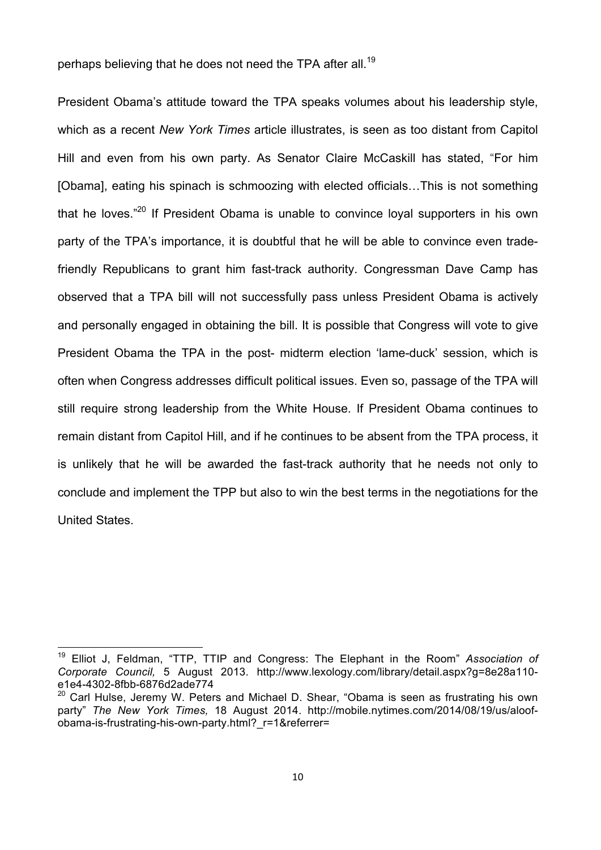perhaps believing that he does not need the TPA after all.<sup>19</sup>

President Obama's attitude toward the TPA speaks volumes about his leadership style, which as a recent *New York Times* article illustrates, is seen as too distant from Capitol Hill and even from his own party. As Senator Claire McCaskill has stated, "For him [Obama], eating his spinach is schmoozing with elected officials…This is not something that he loves."<sup>20</sup> If President Obama is unable to convince loyal supporters in his own party of the TPA's importance, it is doubtful that he will be able to convince even tradefriendly Republicans to grant him fast-track authority. Congressman Dave Camp has observed that a TPA bill will not successfully pass unless President Obama is actively and personally engaged in obtaining the bill. It is possible that Congress will vote to give President Obama the TPA in the post- midterm election 'lame-duck' session, which is often when Congress addresses difficult political issues. Even so, passage of the TPA will still require strong leadership from the White House. If President Obama continues to remain distant from Capitol Hill, and if he continues to be absent from the TPA process, it is unlikely that he will be awarded the fast-track authority that he needs not only to conclude and implement the TPP but also to win the best terms in the negotiations for the United States.

 

<sup>19</sup> Elliot J, Feldman, "TTP, TTIP and Congress: The Elephant in the Room" *Association of Corporate Council,* 5 August 2013. http://www.lexology.com/library/detail.aspx?g=8e28a110 e1e4-4302-8fbb-6876d2ade774

 $20$  Carl Hulse, Jeremy W. Peters and Michael D. Shear, "Obama is seen as frustrating his own party" *The New York Times,* 18 August 2014. http://mobile.nytimes.com/2014/08/19/us/aloofobama-is-frustrating-his-own-party.html?\_r=1&referrer=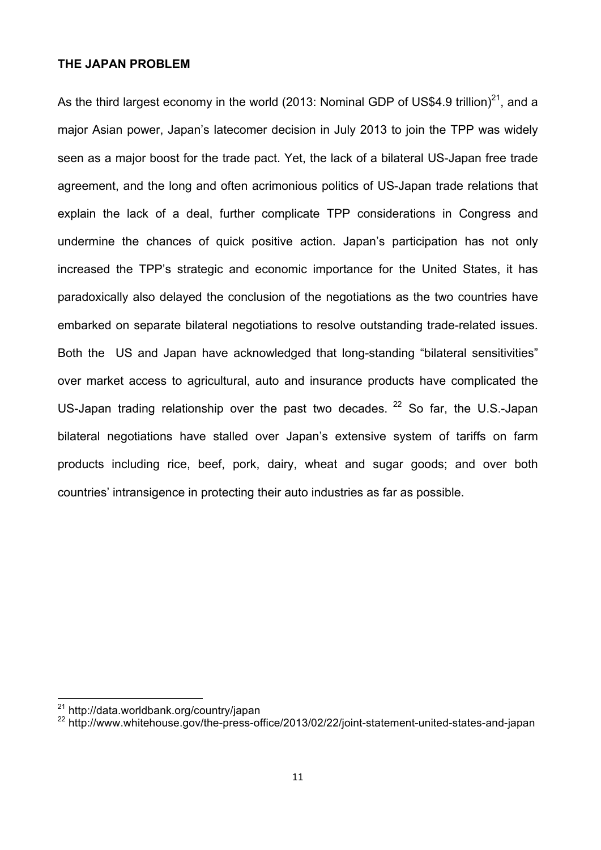## **THE JAPAN PROBLEM**

As the third largest economy in the world (2013: Nominal GDP of US\$4.9 trillion)<sup>21</sup>, and a major Asian power, Japan's latecomer decision in July 2013 to join the TPP was widely seen as a major boost for the trade pact. Yet, the lack of a bilateral US-Japan free trade agreement, and the long and often acrimonious politics of US-Japan trade relations that explain the lack of a deal, further complicate TPP considerations in Congress and undermine the chances of quick positive action. Japan's participation has not only increased the TPP's strategic and economic importance for the United States, it has paradoxically also delayed the conclusion of the negotiations as the two countries have embarked on separate bilateral negotiations to resolve outstanding trade-related issues. Both the US and Japan have acknowledged that long-standing "bilateral sensitivities" over market access to agricultural, auto and insurance products have complicated the US-Japan trading relationship over the past two decades.  $22$  So far, the U.S.-Japan bilateral negotiations have stalled over Japan's extensive system of tariffs on farm products including rice, beef, pork, dairy, wheat and sugar goods; and over both countries' intransigence in protecting their auto industries as far as possible.

<u> 1989 - Johann Stein, fransk politiker (d. 1989)</u>

<sup>21</sup> http://data.worldbank.org/country/japan

<sup>22</sup> http://www.whitehouse.gov/the-press-office/2013/02/22/joint-statement-united-states-and-japan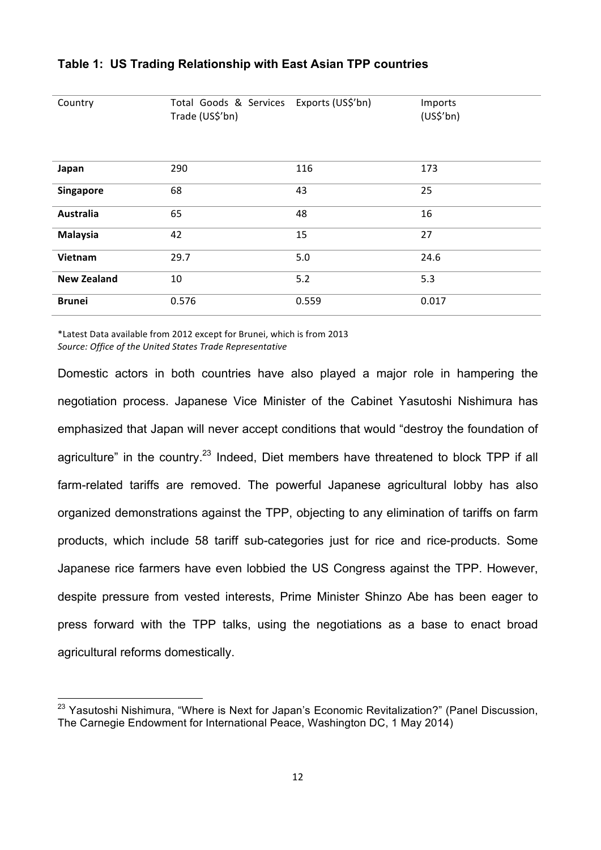| Country            | Total Goods & Services<br>Trade (US\$'bn) | Exports (US\$'bn) | Imports<br>(US <sup>2</sup> 'bn) |
|--------------------|-------------------------------------------|-------------------|----------------------------------|
| Japan              | 290                                       | 116               | 173                              |
| Singapore          | 68                                        | 43                | 25                               |
| Australia          | 65                                        | 48                | 16                               |
| Malaysia           | 42                                        | 15                | 27                               |
| Vietnam            | 29.7                                      | 5.0               | 24.6                             |
| <b>New Zealand</b> | 10                                        | 5.2               | 5.3                              |
| <b>Brunei</b>      | 0.576                                     | 0.559             | 0.017                            |

## **Table 1: US Trading Relationship with East Asian TPP countries**

\*Latest Data available from 2012 except for Brunei, which is from 2013 Source: Office of the United States Trade Representative

<u> 1989 - Johann Stein, fransk politiker (d. 1989)</u>

Domestic actors in both countries have also played a major role in hampering the negotiation process. Japanese Vice Minister of the Cabinet Yasutoshi Nishimura has emphasized that Japan will never accept conditions that would "destroy the foundation of agriculture" in the country.<sup>23</sup> Indeed, Diet members have threatened to block TPP if all farm-related tariffs are removed. The powerful Japanese agricultural lobby has also organized demonstrations against the TPP, objecting to any elimination of tariffs on farm products, which include 58 tariff sub-categories just for rice and rice-products. Some Japanese rice farmers have even lobbied the US Congress against the TPP. However, despite pressure from vested interests, Prime Minister Shinzo Abe has been eager to press forward with the TPP talks, using the negotiations as a base to enact broad agricultural reforms domestically.

<sup>&</sup>lt;sup>23</sup> Yasutoshi Nishimura, "Where is Next for Japan's Economic Revitalization?" (Panel Discussion, The Carnegie Endowment for International Peace, Washington DC, 1 May 2014)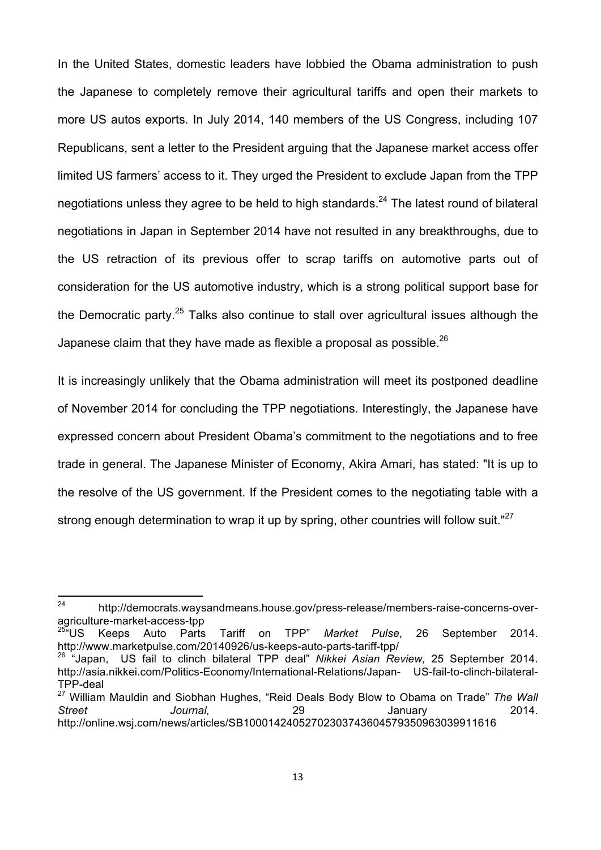In the United States, domestic leaders have lobbied the Obama administration to push the Japanese to completely remove their agricultural tariffs and open their markets to more US autos exports. In July 2014, 140 members of the US Congress, including 107 Republicans, sent a letter to the President arguing that the Japanese market access offer limited US farmers' access to it. They urged the President to exclude Japan from the TPP negotiations unless they agree to be held to high standards.<sup>24</sup> The latest round of bilateral negotiations in Japan in September 2014 have not resulted in any breakthroughs, due to the US retraction of its previous offer to scrap tariffs on automotive parts out of consideration for the US automotive industry, which is a strong political support base for the Democratic party.<sup>25</sup> Talks also continue to stall over agricultural issues although the Japanese claim that they have made as flexible a proposal as possible.<sup>26</sup>

It is increasingly unlikely that the Obama administration will meet its postponed deadline of November 2014 for concluding the TPP negotiations. Interestingly, the Japanese have expressed concern about President Obama's commitment to the negotiations and to free trade in general. The Japanese Minister of Economy, Akira Amari, has stated: "It is up to the resolve of the US government. If the President comes to the negotiating table with a strong enough determination to wrap it up by spring, other countries will follow suit."<sup>27</sup>

 

<sup>24</sup> http://democrats.waysandmeans.house.gov/press-release/members-raise-concerns-overagriculture-market-access-tpp<br><sup>25</sup>"US Keeps Auto Parts

<sup>25&</sup>quot;US Keeps Auto Parts Tariff on TPP" *Market Pulse*, 26 September 2014. http://www.marketpulse.com/20140926/us-keeps-auto-parts-tariff-tpp/

<sup>26</sup> "Japan, US fail to clinch bilateral TPP deal" *Nikkei Asian Review,* 25 September 2014. http://asia.nikkei.com/Politics-Economy/International-Relations/Japan- US-fail-to-clinch-bilateral-TPP-deal

<sup>27</sup> William Mauldin and Siobhan Hughes, "Reid Deals Body Blow to Obama on Trade" *The Wall Street Journal,* 29 January 2014. http://online.wsj.com/news/articles/SB10001424052702303743604579350963039911616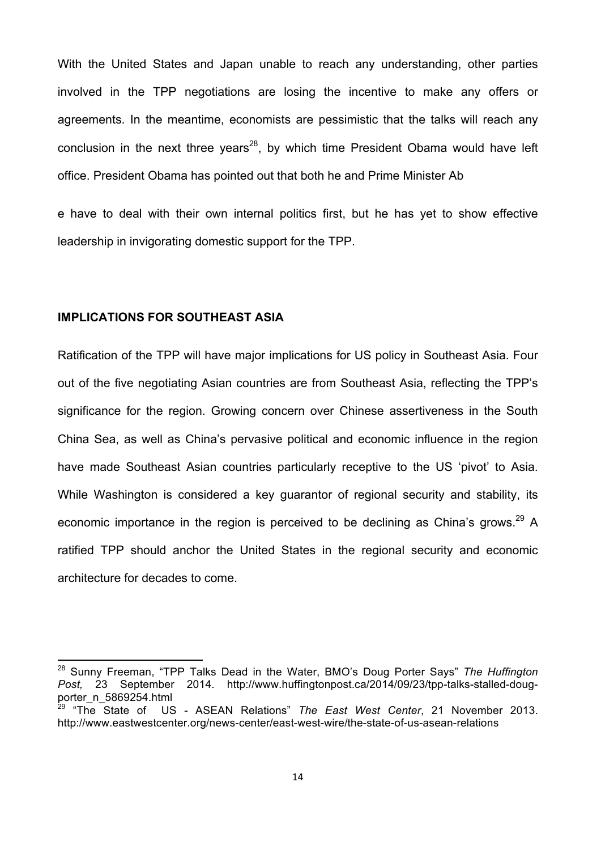With the United States and Japan unable to reach any understanding, other parties involved in the TPP negotiations are losing the incentive to make any offers or agreements. In the meantime, economists are pessimistic that the talks will reach any conclusion in the next three years<sup>28</sup>, by which time President Obama would have left office. President Obama has pointed out that both he and Prime Minister Ab

e have to deal with their own internal politics first, but he has yet to show effective leadership in invigorating domestic support for the TPP.

## **IMPLICATIONS FOR SOUTHEAST ASIA**

 

Ratification of the TPP will have major implications for US policy in Southeast Asia. Four out of the five negotiating Asian countries are from Southeast Asia, reflecting the TPP's significance for the region. Growing concern over Chinese assertiveness in the South China Sea, as well as China's pervasive political and economic influence in the region have made Southeast Asian countries particularly receptive to the US 'pivot' to Asia. While Washington is considered a key guarantor of regional security and stability, its economic importance in the region is perceived to be declining as China's grows.<sup>29</sup> A ratified TPP should anchor the United States in the regional security and economic architecture for decades to come.

<sup>28</sup> Sunny Freeman, "TPP Talks Dead in the Water, BMO's Doug Porter Says" *The Huffington Post,* 23 September 2014. http://www.huffingtonpost.ca/2014/09/23/tpp-talks-stalled-dougporter\_n\_5869254.html<br><sup>29</sup> "The State of US

US - ASEAN Relations" *The East West Center*, 21 November 2013. http://www.eastwestcenter.org/news-center/east-west-wire/the-state-of-us-asean-relations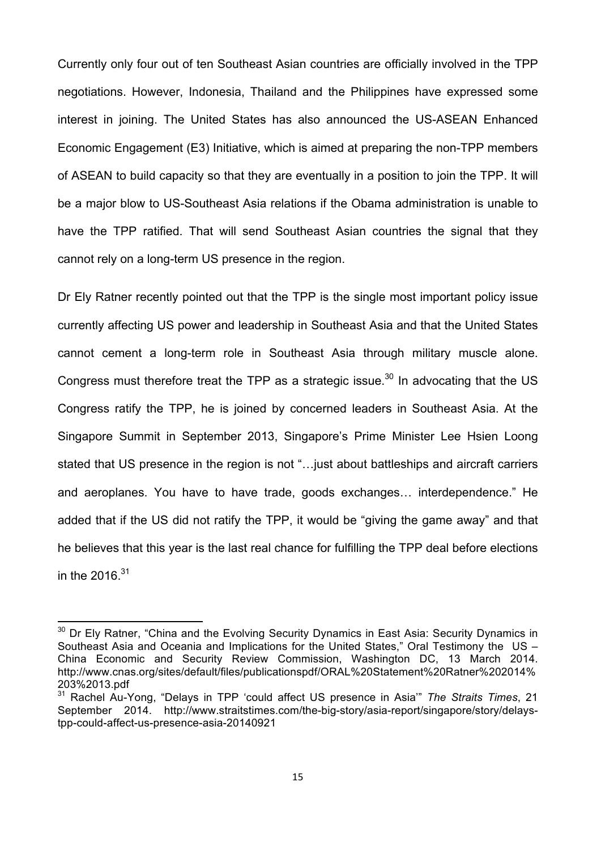Currently only four out of ten Southeast Asian countries are officially involved in the TPP negotiations. However, Indonesia, Thailand and the Philippines have expressed some interest in joining. The United States has also announced the US-ASEAN Enhanced Economic Engagement (E3) Initiative, which is aimed at preparing the non-TPP members of ASEAN to build capacity so that they are eventually in a position to join the TPP. It will be a major blow to US-Southeast Asia relations if the Obama administration is unable to have the TPP ratified. That will send Southeast Asian countries the signal that they cannot rely on a long-term US presence in the region.

Dr Ely Ratner recently pointed out that the TPP is the single most important policy issue currently affecting US power and leadership in Southeast Asia and that the United States cannot cement a long-term role in Southeast Asia through military muscle alone. Congress must therefore treat the TPP as a strategic issue. $30$  In advocating that the US Congress ratify the TPP, he is joined by concerned leaders in Southeast Asia. At the Singapore Summit in September 2013, Singapore's Prime Minister Lee Hsien Loong stated that US presence in the region is not "…just about battleships and aircraft carriers and aeroplanes. You have to have trade, goods exchanges… interdependence." He added that if the US did not ratify the TPP, it would be "giving the game away" and that he believes that this year is the last real chance for fulfilling the TPP deal before elections in the  $2016^{31}$ 

<u> 1989 - Johann Stein, fransk politiker (d. 1989)</u>

 $30$  Dr Ely Ratner, "China and the Evolving Security Dynamics in East Asia: Security Dynamics in Southeast Asia and Oceania and Implications for the United States," Oral Testimony the US – China Economic and Security Review Commission, Washington DC, 13 March 2014. http://www.cnas.org/sites/default/files/publicationspdf/ORAL%20Statement%20Ratner%202014% 203%2013.pdf

<sup>31</sup> Rachel Au-Yong, "Delays in TPP 'could affect US presence in Asia'" *The Straits Times*, 21 September 2014. http://www.straitstimes.com/the-big-story/asia-report/singapore/story/delaystpp-could-affect-us-presence-asia-20140921